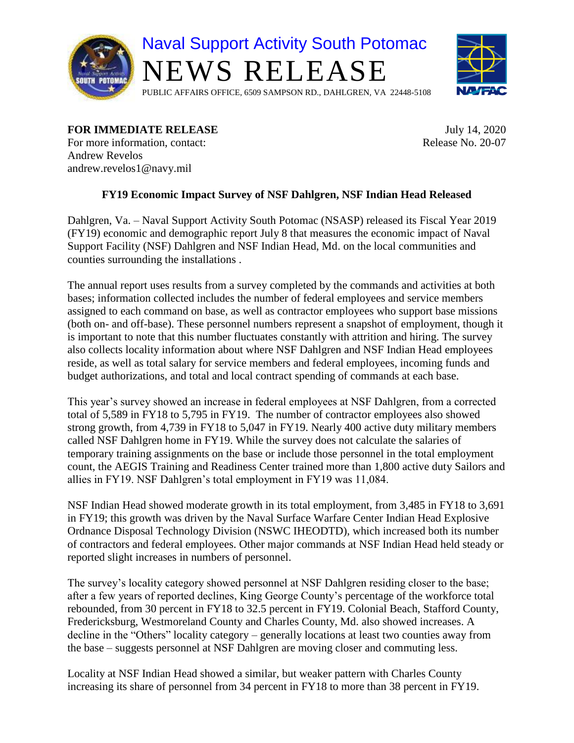



## **FOR IMMEDIATE RELEASE** July 14, 2020

For more information, contact: Release No. 20-07 Andrew Revelos andrew.revelos1@navy.mil

## **FY19 Economic Impact Survey of NSF Dahlgren, NSF Indian Head Released**

Dahlgren, Va. – Naval Support Activity South Potomac (NSASP) released its Fiscal Year 2019 (FY19) economic and demographic report July 8 that measures the economic impact of Naval Support Facility (NSF) Dahlgren and NSF Indian Head, Md. on the local communities and counties surrounding the installations .

The annual report uses results from a survey completed by the commands and activities at both bases; information collected includes the number of federal employees and service members assigned to each command on base, as well as contractor employees who support base missions (both on- and off-base). These personnel numbers represent a snapshot of employment, though it is important to note that this number fluctuates constantly with attrition and hiring. The survey also collects locality information about where NSF Dahlgren and NSF Indian Head employees reside, as well as total salary for service members and federal employees, incoming funds and budget authorizations, and total and local contract spending of commands at each base.

This year's survey showed an increase in federal employees at NSF Dahlgren, from a corrected total of 5,589 in FY18 to 5,795 in FY19. The number of contractor employees also showed strong growth, from 4,739 in FY18 to 5,047 in FY19. Nearly 400 active duty military members called NSF Dahlgren home in FY19. While the survey does not calculate the salaries of temporary training assignments on the base or include those personnel in the total employment count, the AEGIS Training and Readiness Center trained more than 1,800 active duty Sailors and allies in FY19. NSF Dahlgren's total employment in FY19 was 11,084.

NSF Indian Head showed moderate growth in its total employment, from 3,485 in FY18 to 3,691 in FY19; this growth was driven by the Naval Surface Warfare Center Indian Head Explosive Ordnance Disposal Technology Division (NSWC IHEODTD), which increased both its number of contractors and federal employees. Other major commands at NSF Indian Head held steady or reported slight increases in numbers of personnel.

The survey's locality category showed personnel at NSF Dahlgren residing closer to the base; after a few years of reported declines, King George County's percentage of the workforce total rebounded, from 30 percent in FY18 to 32.5 percent in FY19. Colonial Beach, Stafford County, Fredericksburg, Westmoreland County and Charles County, Md. also showed increases. A decline in the "Others" locality category – generally locations at least two counties away from the base – suggests personnel at NSF Dahlgren are moving closer and commuting less.

Locality at NSF Indian Head showed a similar, but weaker pattern with Charles County increasing its share of personnel from 34 percent in FY18 to more than 38 percent in FY19.